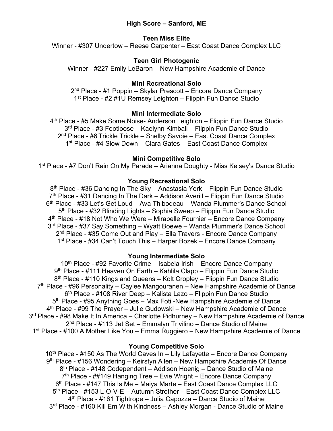# **High Score – Sanford, ME**

# **Teen Miss Elite**

Winner - #307 Undertow – Reese Carpenter – East Coast Dance Complex LLC

# **Teen Girl Photogenic**

Winner - #227 Emily LeBaron – New Hampshire Academie of Dance

## **Mini Recreational Solo**

2nd Place - #1 Poppin – Skylar Prescott – Encore Dance Company 1<sup>st</sup> Place - #2 #1U Remsey Leighton – Flippin Fun Dance Studio

## **Mini Intermediate Solo**

4th Place - #5 Make Some Noise- Anderson Leighton – Flippin Fun Dance Studio 3rd Place - #3 Footloose – Kaelynn Kimball – Flippin Fun Dance Studio 2<sup>nd</sup> Place - #6 Trickle Trickle – Shelby Savoie – East Coast Dance Complex 1<sup>st</sup> Place - #4 Slow Down – Clara Gates – East Coast Dance Complex

## **Mini Competitive Solo**

1st Place - #7 Don't Rain On My Parade – Arianna Doughty - Miss Kelsey's Dance Studio

# **Young Recreational Solo**

8<sup>th</sup> Place - #36 Dancing In The Sky – Anastasia York – Flippin Fun Dance Studio  $7<sup>th</sup>$  Place - #31 Dancing In The Dark – Addison Averill – Flippin Fun Dance Studio 6th Place - #33 Let's Get Loud – Ava Thibodeau – Wanda Plummer's Dance School 5<sup>th</sup> Place - #32 Blinding Lights – Sophia Sweep – Flippin Fun Dance Studio 4th Place - #18 Not Who We Were – Mirabelle Fournier – Encore Dance Company 3rd Place - #37 Say Something – Wyatt Boewe – Wanda Plummer's Dance School 2<sup>nd</sup> Place - #35 Come Out and Play – Ella Travers - Encore Dance Company 1<sup>st</sup> Place - #34 Can't Touch This – Harper Bozek – Encore Dance Company

## **Young Intermediate Solo**

10<sup>th</sup> Place - #92 Favorite Crime – Isabela Irish – Encore Dance Company 9<sup>th</sup> Place - #111 Heaven On Earth – Kahlila Clapp – Flippin Fun Dance Studio 8<sup>th</sup> Place - #110 Kings and Queens – Kolt Cropley – Flippin Fun Dance Studio  $7<sup>th</sup>$  Place - #96 Personality – Caylee Mangouranen – New Hampshire Academie of Dance 6<sup>th</sup> Place - #108 River Deep – Kalista Lazo – Flippin Fun Dance Studio 5th Place - #95 Anything Goes – Max Foti -New Hampshire Academie of Dance 4th Place - #99 The Prayer – Julie Gudowski – New Hampshire Academie of Dance 3<sup>rd</sup> Place - #98 Make It In America – Charlotte Pidhurney – New Hampshire Academie of Dance 2nd Place - #113 Jet Set – Emmalyn Trivilino – Dance Studio of Maine 1st Place - #100 A Mother Like You – Emma Ruggiero – New Hampshire Academie of Dance

## **Young Competitive Solo**

 $10<sup>th</sup>$  Place - #150 As The World Caves In – Lily Lafayette – Encore Dance Company 9th Place - #156 Wondering – Keirstyn Allen – New Hampshire Academie Of Dance 8<sup>th</sup> Place - #148 Codependent – Addison Hoenig – Dance Studio of Maine  $7<sup>th</sup>$  Place - ##149 Hanging Tree – Evie Wright – Encore Dance Company 6th Place - #147 This Is Me – Maiya Marte – East Coast Dance Complex LLC 5th Place - #153 L-O-V-E – Autumn Strother – East Coast Dance Complex LLC 4th Place - #161 Tightrope – Julia Capozza – Dance Studio of Maine 3<sup>rd</sup> Place - #160 Kill Em With Kindness – Ashley Morgan - Dance Studio of Maine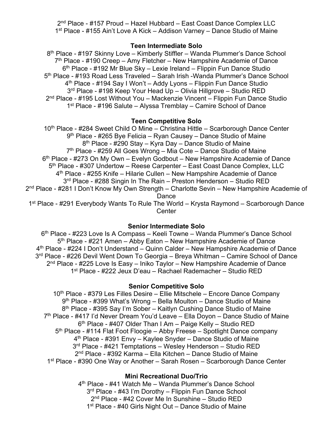2nd Place - #157 Proud – Hazel Hubbard – East Coast Dance Complex LLC 1st Place - #155 Ain't Love A Kick – Addison Varney – Dance Studio of Maine

## **Teen Intermediate Solo**

8th Place - #197 Skinny Love – Kimberly Stiffler – Wanda Plummer's Dance School  $7<sup>th</sup>$  Place - #190 Creep – Amy Fletcher – New Hampshire Academie of Dance 6<sup>th</sup> Place - #192 Mr Blue Sky – Lexie Ireland – Flippin Fun Dance Studio 5<sup>th</sup> Place - #193 Road Less Traveled – Sarah Irish -Wanda Plummer's Dance School 4th Place - #194 Say I Won't – Addy Lyons – Flippin Fun Dance Studio 3rd Place - #198 Keep Your Head Up – Olivia Hillgrove – Studio RED 2nd Place - #195 Lost Without You – Mackenzie Vincent – Flippin Fun Dance Studio 1st Place - #196 Salute – Alyssa Tremblay – Camire School of Dance

# **Teen Competitive Solo**

10<sup>th</sup> Place - #284 Sweet Child O Mine – Christina Hittle – Scarborough Dance Center 9<sup>th</sup> Place - #265 Bye Felicia – Ryan Causey – Dance Studio of Maine 8<sup>th</sup> Place - #290 Stay – Kyra Day – Dance Studio of Maine  $7<sup>th</sup>$  Place - #259 All Goes Wrong – Mia Cote – Dance Studio of Maine 6th Place - #273 On My Own – Evelyn Godbout – New Hampshire Academie of Dance 5<sup>th</sup> Place - #307 Undertow - Reese Carpenter - East Coast Dance Complex, LLC 4th Place - #255 Knife – Hilarie Cullen – New Hampshire Academie of Dance 3<sup>rd</sup> Place - #288 Singin In The Rain – Preston Henderson – Studio RED 2nd Place - #281 I Don't Know My Own Strength – Charlotte Sevin – New Hampshire Academie of Dance 1<sup>st</sup> Place - #291 Everybody Wants To Rule The World – Krysta Raymond – Scarborough Dance **Center** 

## **Senior Intermediate Solo**

6th Place - #223 Love Is A Compass – Keeli Towne – Wanda Plummer's Dance School  $5<sup>th</sup>$  Place - #221 Amen – Abby Eaton – New Hampshire Academie of Dance 4th Place - #224 I Don't Understand – Quinn Calder – New Hampshire Academie of Dance 3<sup>rd</sup> Place - #226 Devil Went Down To Georgia – Breya Whitman – Camire School of Dance  $2<sup>nd</sup>$  Place - #225 Love Is Easy – Iniko Taylor – New Hampshire Academie of Dance 1st Place - #222 Jeux D'eau – Rachael Rademacher – Studio RED

## **Senior Competitive Solo**

10<sup>th</sup> Place - #379 Les Filles Desire – Ellie Mitschele – Encore Dance Company 9<sup>th</sup> Place - #399 What's Wrong – Bella Moulton – Dance Studio of Maine 8th Place - #395 Say I'm Sober – Kaitlyn Cushing Dance Studio of Maine 7<sup>th</sup> Place - #417 I'd Never Dream You'd Leave – Ella Doyon – Dance Studio of Maine 6th Place - #407 Older Than I Am – Paige Kelly – Studio RED 5<sup>th</sup> Place - #114 Flat Foot Floogie – Abby Freese – Spotlight Dance company 4th Place - #391 Envy – Kaylee Snyder – Dance Studio of Maine 3<sup>rd</sup> Place - #421 Temptations – Wesley Henderson – Studio RED 2nd Place - #392 Karma – Ella Kitchen – Dance Studio of Maine 1<sup>st</sup> Place - #390 One Way or Another – Sarah Rosen – Scarborough Dance Center

# **Mini Recreational Duo/Trio**

4th Place - #41 Watch Me – Wanda Plummer's Dance School 3<sup>rd</sup> Place - #43 I'm Dorothy – Flippin Fun Dance School 2<sup>nd</sup> Place - #42 Cover Me In Sunshine – Studio RED 1<sup>st</sup> Place - #40 Girls Night Out – Dance Studio of Maine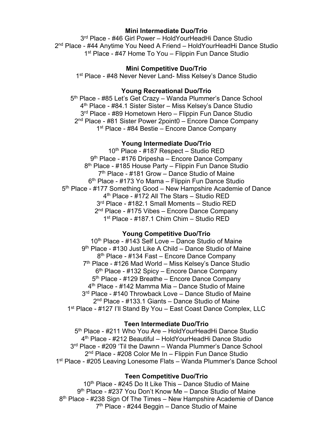### **Mini Intermediate Duo/Trio**

3rd Place - #46 Girl Power – HoldYourHeadHi Dance Studio 2nd Place - #44 Anytime You Need A Friend – HoldYourHeadHi Dance Studio 1<sup>st</sup> Place - #47 Home To You – Flippin Fun Dance Studio

#### **Mini Competitive Duo/Trio**

1<sup>st</sup> Place - #48 Never Never Land- Miss Kelsey's Dance Studio

## **Young Recreational Duo/Trio**

5<sup>th</sup> Place - #85 Let's Get Crazy – Wanda Plummer's Dance School 4th Place - #84.1 Sister Sister – Miss Kelsey's Dance Studio 3<sup>rd</sup> Place - #89 Hometown Hero – Flippin Fun Dance Studio 2nd Place - #81 Sister Power 2point0 – Encore Dance Company 1<sup>st</sup> Place - #84 Bestie – Encore Dance Company

#### **Young Intermediate Duo/Trio**

10<sup>th</sup> Place - #187 Respect – Studio RED 9th Place - #176 Dripesha – Encore Dance Company 8<sup>th</sup> Place - #185 House Party – Flippin Fun Dance Studio  $7<sup>th</sup>$  Place - #181 Grow – Dance Studio of Maine 6<sup>th</sup> Place - #173 Yo Mama – Flippin Fun Dance Studio 5th Place - #177 Something Good – New Hampshire Academie of Dance 4th Place - #172 All The Stars – Studio RED 3rd Place - #182.1 Small Moments – Studio RED 2<sup>nd</sup> Place - #175 Vibes – Encore Dance Company 1st Place - #187.1 Chim Chim – Studio RED

#### **Young Competitive Duo/Trio**

10<sup>th</sup> Place - #143 Self Love – Dance Studio of Maine 9th Place - #130 Just Like A Child – Dance Studio of Maine 8<sup>th</sup> Place - #134 Fast – Encore Dance Company 7<sup>th</sup> Place - #126 Mad World – Miss Kelsey's Dance Studio 6<sup>th</sup> Place - #132 Spicy – Encore Dance Company 5<sup>th</sup> Place - #129 Breathe – Encore Dance Company 4th Place - #142 Mamma Mia – Dance Studio of Maine 3<sup>rd</sup> Place - #140 Throwback Love – Dance Studio of Maine 2nd Place - #133.1 Giants – Dance Studio of Maine 1st Place - #127 I'll Stand By You – East Coast Dance Complex, LLC

#### **Teen Intermediate Duo/Trio**

5<sup>th</sup> Place - #211 Who You Are – Hold Your Head Hi Dance Studio 4th Place - #212 Beautiful – HoldYourHeadHi Dance Studio 3<sup>rd</sup> Place - #209 'Til the Dawnn – Wanda Plummer's Dance School 2nd Place - #208 Color Me In – Flippin Fun Dance Studio 1<sup>st</sup> Place - #205 Leaving Lonesome Flats – Wanda Plummer's Dance School

# **Teen Competitive Duo/Trio**

10<sup>th</sup> Place - #245 Do It Like This – Dance Studio of Maine 9th Place - #237 You Don't Know Me – Dance Studio of Maine 8<sup>th</sup> Place - #238 Sign Of The Times – New Hampshire Academie of Dance  $7<sup>th</sup>$  Place - #244 Beggin – Dance Studio of Maine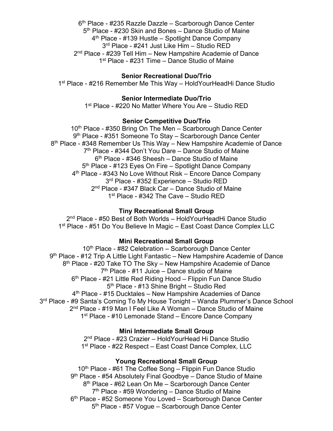6<sup>th</sup> Place - #235 Razzle Dazzle – Scarborough Dance Center 5<sup>th</sup> Place - #230 Skin and Bones – Dance Studio of Maine  $4<sup>th</sup>$  Place - #139 Hustle – Spotlight Dance Company 3rd Place - #241 Just Like Him – Studio RED 2nd Place - #239 Tell Him – New Hampshire Academie of Dance 1<sup>st</sup> Place - #231 Time – Dance Studio of Maine

# **Senior Recreational Duo/Trio**

1st Place - #216 Remember Me This Way – HoldYourHeadHi Dance Studio

## **Senior Intermediate Duo/Trio**

1<sup>st</sup> Place - #220 No Matter Where You Are – Studio RED

#### **Senior Competitive Duo/Trio**

10<sup>th</sup> Place - #350 Bring On The Men - Scarborough Dance Center 9<sup>th</sup> Place - #351 Someone To Stay – Scarborough Dance Center 8<sup>th</sup> Place - #348 Remember Us This Way – New Hampshire Academie of Dance 7<sup>th</sup> Place - #344 Don't You Dare – Dance Studio of Maine  $6<sup>th</sup>$  Place - #346 Sheesh – Dance Studio of Maine 5<sup>th</sup> Place - #123 Eyes On Fire – Spotlight Dance Company 4<sup>th</sup> Place - #343 No Love Without Risk – Encore Dance Company 3rd Place - #352 Experience – Studio RED 2<sup>nd</sup> Place - #347 Black Car – Dance Studio of Maine 1<sup>st</sup> Place - #342 The Cave – Studio RED

#### **Tiny Recreational Small Group**

2<sup>nd</sup> Place - #50 Best of Both Worlds – Hold Your Head Hi Dance Studio 1<sup>st</sup> Place - #51 Do You Believe In Magic – East Coast Dance Complex LLC

## **Mini Recreational Small Group**

10<sup>th</sup> Place - #82 Celebration – Scarborough Dance Center 9th Place - #12 Trip A Little Light Fantastic – New Hampshire Academie of Dance 8th Place - #20 Take TO The Sky – New Hampshire Academie of Dance  $7<sup>th</sup>$  Place - #11 Juice – Dance studio of Maine 6<sup>th</sup> Place - #21 Little Red Riding Hood – Flippin Fun Dance Studio 5th Place - #13 Shine Bright – Studio Red 4th Place - #15 Ducktales – New Hampshire Academies of Dance 3<sup>rd</sup> Place - #9 Santa's Coming To My House Tonight – Wanda Plummer's Dance School 2nd Place - #19 Man I Feel Like A Woman – Dance Studio of Maine 1<sup>st</sup> Place - #10 Lemonade Stand – Encore Dance Company

### **Mini Intermediate Small Group**

2nd Place - #23 Crazier – HoldYourHead Hi Dance Studio 1<sup>st</sup> Place - #22 Respect – East Coast Dance Complex, LLC

# **Young Recreational Small Group**

10<sup>th</sup> Place - #61 The Coffee Song – Flippin Fun Dance Studio 9<sup>th</sup> Place - #54 Absolutely Final Goodbye – Dance Studio of Maine 8<sup>th</sup> Place - #62 Lean On Me - Scarborough Dance Center  $7<sup>th</sup>$  Place - #59 Wondering – Dance Studio of Maine 6th Place - #52 Someone You Loved – Scarborough Dance Center 5<sup>th</sup> Place - #57 Vogue – Scarborough Dance Center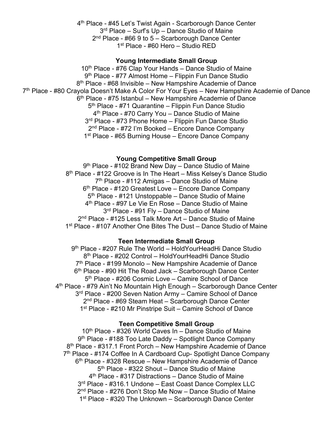4<sup>th</sup> Place - #45 Let's Twist Again - Scarborough Dance Center 3<sup>rd</sup> Place – Surf's Up – Dance Studio of Maine  $2<sup>nd</sup>$  Place - #66 9 to 5 – Scarborough Dance Center 1st Place - #60 Hero – Studio RED

## **Young Intermediate Small Group**

10<sup>th</sup> Place - #76 Clap Your Hands – Dance Studio of Maine 9<sup>th</sup> Place - #77 Almost Home – Flippin Fun Dance Studio 8<sup>th</sup> Place - #68 Invisible – New Hampshire Academie of Dance 7<sup>th</sup> Place - #80 Crayola Doesn't Make A Color For Your Eyes – New Hampshire Academie of Dance  $6<sup>th</sup>$  Place - #75 Istanbul – New Hampshire Academie of Dance 5<sup>th</sup> Place - #71 Quarantine – Flippin Fun Dance Studio 4<sup>th</sup> Place - #70 Carry You – Dance Studio of Maine 3<sup>rd</sup> Place - #73 Phone Home – Flippin Fun Dance Studio 2<sup>nd</sup> Place - #72 I'm Booked – Encore Dance Company 1<sup>st</sup> Place - #65 Burning House – Encore Dance Company

## **Young Competitive Small Group**

9<sup>th</sup> Place - #102 Brand New Day – Dance Studio of Maine 8<sup>th</sup> Place - #122 Groove is In The Heart – Miss Kelsey's Dance Studio 7th Place - #112 Amigas – Dance Studio of Maine  $6<sup>th</sup>$  Place - #120 Greatest Love – Encore Dance Company 5th Place - #121 Unstoppable – Dance Studio of Maine 4<sup>th</sup> Place - #97 Le Vie En Rose – Dance Studio of Maine 3<sup>rd</sup> Place - #91 Fly – Dance Studio of Maine 2nd Place - #125 Less Talk More Art – Dance Studio of Maine 1<sup>st</sup> Place - #107 Another One Bites The Dust – Dance Studio of Maine

#### **Teen Intermediate Small Group**

9<sup>th</sup> Place - #207 Rule The World – Hold Your Head Hi Dance Studio 8<sup>th</sup> Place - #202 Control – HoldYourHeadHi Dance Studio  $7<sup>th</sup>$  Place - #199 Monolo – New Hampshire Academie of Dance 6<sup>th</sup> Place - #90 Hit The Road Jack – Scarborough Dance Center 5<sup>th</sup> Place - #206 Cosmic Love – Camire School of Dance 4<sup>th</sup> Place - #79 Ain't No Mountain High Enough – Scarborough Dance Center 3<sup>rd</sup> Place - #200 Seven Nation Army – Camire School of Dance 2nd Place - #69 Steam Heat – Scarborough Dance Center 1<sup>st</sup> Place - #210 Mr Pinstripe Suit – Camire School of Dance

#### **Teen Competitive Small Group**

 $10<sup>th</sup>$  Place - #326 World Caves In – Dance Studio of Maine 9<sup>th</sup> Place - #188 Too Late Daddy – Spotlight Dance Company 8<sup>th</sup> Place - #317.1 Front Porch – New Hampshire Academie of Dance 7<sup>th</sup> Place - #174 Coffee In A Cardboard Cup- Spotlight Dance Company  $6<sup>th</sup>$  Place - #328 Rescue – New Hampshire Academie of Dance 5th Place - #322 Shout – Dance Studio of Maine 4th Place - #317 Distractions – Dance Studio of Maine 3rd Place - #316.1 Undone – East Coast Dance Complex LLC 2nd Place - #276 Don't Stop Me Now – Dance Studio of Maine 1<sup>st</sup> Place - #320 The Unknown – Scarborough Dance Center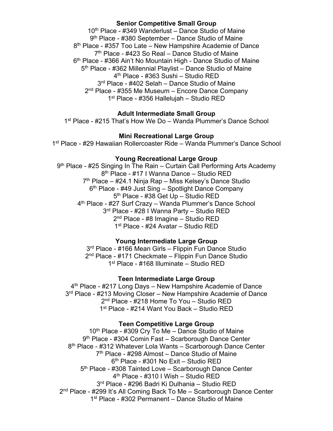## **Senior Competitive Small Group**

10th Place - #349 Wanderlust – Dance Studio of Maine 9<sup>th</sup> Place - #380 September – Dance Studio of Maine 8<sup>th</sup> Place - #357 Too Late – New Hampshire Academie of Dance  $7<sup>th</sup>$  Place - #423 So Real – Dance Studio of Maine 6<sup>th</sup> Place - #366 Ain't No Mountain High - Dance Studio of Maine 5th Place - #362 Millennial Playlist – Dance Studio of Maine 4th Place - #363 Sushi – Studio RED 3<sup>rd</sup> Place - #402 Selah – Dance Studio of Maine 2nd Place - #355 Me Museum – Encore Dance Company 1st Place - #356 Hallelujah – Studio RED

# **Adult Intermediate Small Group**

1st Place - #215 That's How We Do – Wanda Plummer's Dance School

# **Mini Recreational Large Group**

1st Place - #29 Hawaiian Rollercoaster Ride – Wanda Plummer's Dance School

## **Young Recreational Large Group**

9<sup>th</sup> Place - #25 Singing In The Rain – Curtain Call Performing Arts Academy 8th Place - #17 I Wanna Dance – Studio RED 7<sup>th</sup> Place – #24.1 Ninja Rap – Miss Kelsey's Dance Studio  $6<sup>th</sup>$  Place - #49 Just Sing – Spotlight Dance Company 5th Place - #38 Get Up – Studio RED 4<sup>th</sup> Place - #27 Surf Crazy – Wanda Plummer's Dance School 3rd Place - #28 I Wanna Party – Studio RED 2nd Place - #8 Imagine – Studio RED 1st Place - #24 Avatar – Studio RED

# **Young Intermediate Large Group**

3<sup>rd</sup> Place - #166 Mean Girls – Flippin Fun Dance Studio 2<sup>nd</sup> Place - #171 Checkmate – Flippin Fun Dance Studio 1st Place - #168 Illuminate – Studio RED

#### **Teen Intermediate Large Group**

 $4<sup>th</sup>$  Place - #217 Long Days – New Hampshire Academie of Dance 3<sup>rd</sup> Place - #213 Moving Closer – New Hampshire Academie of Dance 2nd Place - #218 Home To You – Studio RED 1<sup>st</sup> Place - #214 Want You Back - Studio RED

## **Teen Competitive Large Group**

 $10<sup>th</sup>$  Place - #309 Cry To Me – Dance Studio of Maine 9th Place - #304 Comin Fast – Scarborough Dance Center 8<sup>th</sup> Place - #312 Whatever Lola Wants – Scarborough Dance Center 7<sup>th</sup> Place - #298 Almost – Dance Studio of Maine 6th Place - #301 No Exit – Studio RED 5th Place - #308 Tainted Love – Scarborough Dance Center 4th Place - #310 I Wish – Studio RED 3rd Place - #296 Badri Ki Dulhania – Studio RED 2<sup>nd</sup> Place - #299 It's All Coming Back To Me – Scarborough Dance Center 1st Place - #302 Permanent – Dance Studio of Maine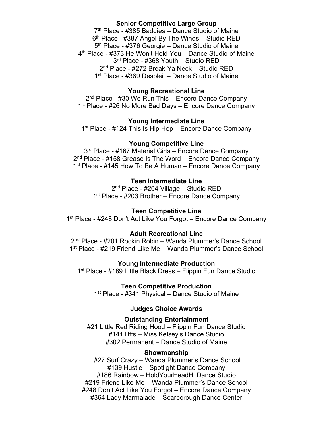## **Senior Competitive Large Group**

 $7<sup>th</sup>$  Place - #385 Baddies – Dance Studio of Maine  $6<sup>th</sup>$  Place - #387 Angel By The Winds – Studio RED 5<sup>th</sup> Place - #376 Georgie – Dance Studio of Maine 4th Place - #373 He Won't Hold You – Dance Studio of Maine 3rd Place - #368 Youth – Studio RED 2nd Place - #272 Break Ya Neck – Studio RED 1<sup>st</sup> Place - #369 Desoleil – Dance Studio of Maine

## **Young Recreational Line**

2<sup>nd</sup> Place - #30 We Run This – Encore Dance Company 1<sup>st</sup> Place - #26 No More Bad Days – Encore Dance Company

#### **Young Intermediate Line**

1<sup>st</sup> Place - #124 This Is Hip Hop – Encore Dance Company

## **Young Competitive Line**

3<sup>rd</sup> Place - #167 Material Girls – Encore Dance Company 2<sup>nd</sup> Place - #158 Grease Is The Word – Encore Dance Company 1<sup>st</sup> Place - #145 How To Be A Human – Encore Dance Company

#### **Teen Intermediate Line**

2nd Place - #204 Village – Studio RED 1<sup>st</sup> Place - #203 Brother – Encore Dance Company

#### **Teen Competitive Line**

1<sup>st</sup> Place - #248 Don't Act Like You Forgot – Encore Dance Company

#### **Adult Recreational Line**

2nd Place - #201 Rockin Robin – Wanda Plummer's Dance School 1<sup>st</sup> Place - #219 Friend Like Me – Wanda Plummer's Dance School

#### **Young Intermediate Production**

1<sup>st</sup> Place - #189 Little Black Dress – Flippin Fun Dance Studio

**Teen Competitive Production** 

1<sup>st</sup> Place - #341 Physical – Dance Studio of Maine

#### **Judges Choice Awards**

**Outstanding Entertainment** 

#21 Little Red Riding Hood – Flippin Fun Dance Studio #141 Bffs – Miss Kelsey's Dance Studio #302 Permanent – Dance Studio of Maine

#### **Showmanship**

#27 Surf Crazy – Wanda Plummer's Dance School #139 Hustle – Spotlight Dance Company #186 Rainbow – HoldYourHeadHi Dance Studio #219 Friend Like Me – Wanda Plummer's Dance School #248 Don't Act Like You Forgot – Encore Dance Company #364 Lady Marmalade – Scarborough Dance Center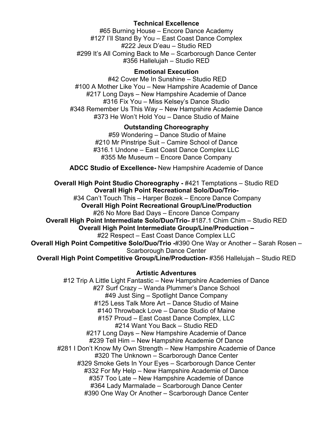# **Technical Excellence**

#65 Burning House – Encore Dance Academy #127 I'll Stand By You – East Coast Dance Complex #222 Jeux D'eau – Studio RED #299 It's All Coming Back to Me – Scarborough Dance Center #356 Hallelujah – Studio RED

# **Emotional Execution**

#42 Cover Me In Sunshine – Studio RED #100 A Mother Like You – New Hampshire Academie of Dance #217 Long Days – New Hampshire Academie of Dance #316 Fix You – Miss Kelsey's Dance Studio #348 Remember Us This Way – New Hampshire Academie Dance #373 He Won't Hold You – Dance Studio of Maine

# **Outstanding Choreography**

#59 Wondering – Dance Studio of Maine #210 Mr Pinstripe Suit – Camire School of Dance #316.1 Undone – East Coast Dance Complex LLC #355 Me Museum – Encore Dance Company

**ADCC Studio of Excellence-** New Hampshire Academie of Dance

**Overall High Point Studio Choreography -** #421 Temptations – Studio RED **Overall High Point Recreational Solo/Duo/Trio-** #34 Can't Touch This – Harper Bozek – Encore Dance Company **Overall High Point Recreational Group/Line/Production** #26 No More Bad Days – Encore Dance Company **Overall High Point Intermediate Solo/Duo/Trio-** #187.1 Chim Chim – Studio RED **Overall High Point Intermediate Group/Line/Production –** #22 Respect – East Coast Dance Complex LLC

**Overall High Point Competitive Solo/Duo/Trio -**#390 One Way or Another – Sarah Rosen – Scarborough Dance Center

**Overall High Point Competitive Group/Line/Production-** #356 Hallelujah – Studio RED

# **Artistic Adventures**

#12 Trip A Little Light Fantastic – New Hampshire Academies of Dance #27 Surf Crazy – Wanda Plummer's Dance School #49 Just Sing – Spotlight Dance Company #125 Less Talk More Art – Dance Studio of Maine #140 Throwback Love – Dance Studio of Maine #157 Proud – East Coast Dance Complex, LLC #214 Want You Back – Studio RED #217 Long Days – New Hampshire Academie of Dance #239 Tell Him – New Hampshire Academie Of Dance #281 I Don't Know My Own Strength – New Hampshire Academie of Dance #320 The Unknown – Scarborough Dance Center #329 Smoke Gets In Your Eyes – Scarborough Dance Center #332 For My Help – New Hampshire Academie of Dance #357 Too Late – New Hampshire Academie of Dance #364 Lady Marmalade – Scarborough Dance Center #390 One Way Or Another – Scarborough Dance Center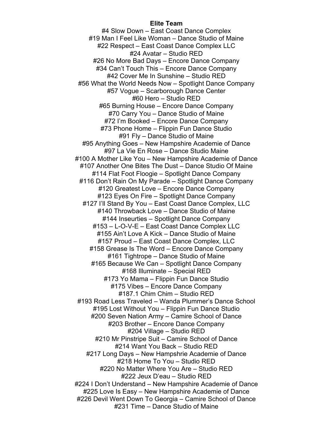# **Elite Team**

#4 Slow Down – East Coast Dance Complex #19 Man I Feel Like Woman – Dance Studio of Maine #22 Respect – East Coast Dance Complex LLC #24 Avatar – Studio RED #26 No More Bad Days – Encore Dance Company #34 Can't Touch This – Encore Dance Company #42 Cover Me In Sunshine – Studio RED #56 What the World Needs Now – Spotlight Dance Company #57 Vogue – Scarborough Dance Center #60 Hero – Studio RED #65 Burning House – Encore Dance Company #70 Carry You – Dance Studio of Maine #72 I'm Booked – Encore Dance Company #73 Phone Home – Flippin Fun Dance Studio #91 Fly – Dance Studio of Maine #95 Anything Goes – New Hampshire Academie of Dance #97 La Vie En Rose – Dance Studio Maine #100 A Mother Like You – New Hampshire Academie of Dance #107 Another One Bites The Dust – Dance Studio Of Maine #114 Flat Foot Floogie – Spotlight Dance Company #116 Don't Rain On My Parade – Spotlight Dance Company #120 Greatest Love – Encore Dance Company #123 Eyes On Fire – Spotlight Dance Company #127 I'll Stand By You – East Coast Dance Complex, LLC #140 Throwback Love – Dance Studio of Maine #144 Inseurties – Spotlight Dance Company #153 – L-O-V-E – East Coast Dance Complex LLC #155 Ain't Love A Kick – Dance Studio of Maine #157 Proud – East Coast Dance Complex, LLC #158 Grease Is The Word – Encore Dance Company #161 Tightrope – Dance Studio of Maine #165 Because We Can – Spotlight Dance Company #168 Illuminate – Special RED #173 Yo Mama – Flippin Fun Dance Studio #175 Vibes – Encore Dance Company #187.1 Chim Chim – Studio RED #193 Road Less Traveled – Wanda Plummer's Dance School #195 Lost Without You – Flippin Fun Dance Studio #200 Seven Nation Army – Camire School of Dance #203 Brother – Encore Dance Company #204 Village – Studio RED #210 Mr Pinstripe Suit – Camire School of Dance #214 Want You Back – Studio RED #217 Long Days – New Hampshrie Academie of Dance #218 Home To You – Studio RED #220 No Matter Where You Are – Studio RED #222 Jeux D'eau – Studio RED #224 I Don't Understand – New Hampshire Academie of Dance #225 Love Is Easy – New Hampshire Academie of Dance #226 Devil Went Down To Georgia – Camire School of Dance #231 Time – Dance Studio of Maine